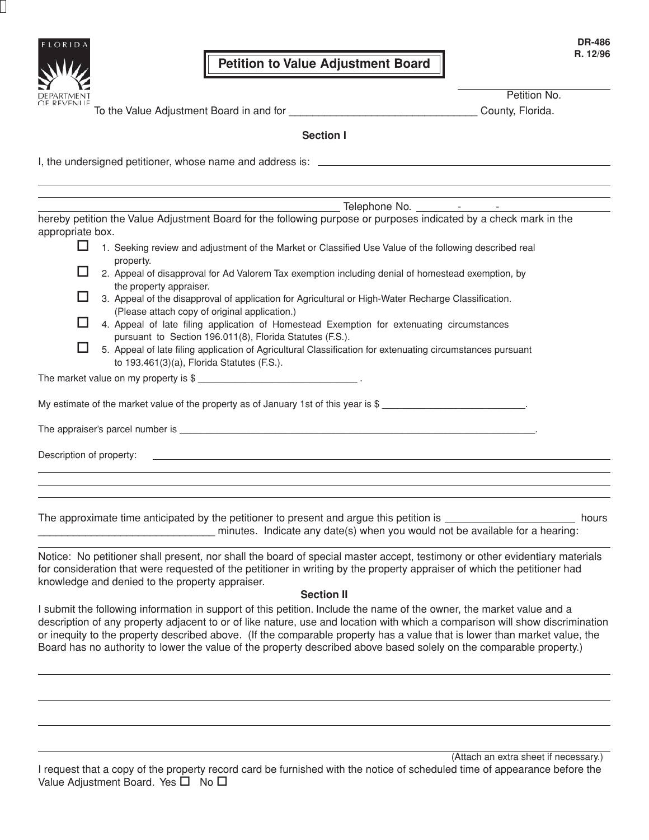

To the Value Adjustment Board in and for \_\_\_\_\_\_\_\_\_\_\_\_\_\_\_\_\_\_\_\_\_\_\_\_\_\_\_\_\_\_\_\_ County, Florida.

Petition No.

**Section I**

I, the undersigned petitioner, whose name and address is:

Telephone No. - -

hereby petition the Value Adjustment Board for the following purpose or purposes indicated by a check mark in the appropriate box.

- 1. Seeking review and adjustment of the Market or Classified Use Value of the following described real property.
- $\Box$  2. Appeal of disapproval for Ad Valorem Tax exemption including denial of homestead exemption, by the property appraiser.
- 3. Appeal of the disapproval of application for Agricultural or High-Water Recharge Classification. (Please attach copy of original application.)
- □ 4. Appeal of late filing application of Homestead Exemption for extenuating circumstances pursuant to Section 196.011(8), Florida Statutes (F.S.).
- 5. Appeal of late filing application of Agricultural Classification for extenuating circumstances pursuant to 193.461(3)(a), Florida Statutes (F.S.).

| The market value on my property is \$ |  |
|---------------------------------------|--|
|---------------------------------------|--|

My estimate of the market value of the property as of January 1st of this year is  $$$ 

The appraiser's parcel number is  $\blacksquare$ 

Description of property:

The approximate time anticipated by the petitioner to present and argue this petition is **hours** hours hours \_\_\_\_\_\_\_\_\_\_\_\_\_\_\_\_\_\_\_\_\_\_\_\_\_\_\_\_\_\_ minutes. Indicate any date(s) when you would not be available for a hearing:

Notice: No petitioner shall present, nor shall the board of special master accept, testimony or other evidentiary materials for consideration that were requested of the petitioner in writing by the property appraiser of which the petitioner had knowledge and denied to the property appraiser.

## **Section II**

I submit the following information in support of this petition. Include the name of the owner, the market value and a description of any property adjacent to or of like nature, use and location with which a comparison will show discrimination or inequity to the property described above. (If the comparable property has a value that is lower than market value, the Board has no authority to lower the value of the property described above based solely on the comparable property.)

I request that a copy of the property record card be furnished with the notice of scheduled time of appearance before the Value Adjustment Board. Yes  $\Box$  No  $\Box$ (Attach an extra sheet if necessary.)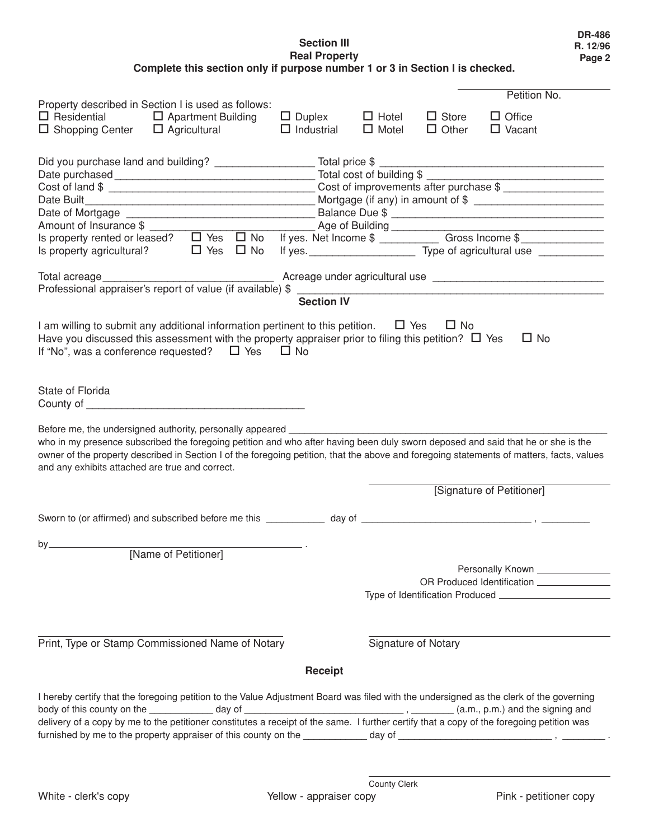**Section III Real Property Complete this section only if purpose number 1 or 3 in Section I is checked.**

|                                                 | Property described in Section I is used as follows:                                                                                       |                   |                        |                     | Petition No.                                                                                                                                         |  |  |
|-------------------------------------------------|-------------------------------------------------------------------------------------------------------------------------------------------|-------------------|------------------------|---------------------|------------------------------------------------------------------------------------------------------------------------------------------------------|--|--|
|                                                 | $\Box$ Residential $\Box$ Apartment Building                                                                                              | $\Box$ Duplex     | $\Box$ Hotel           | $\Box$ Store        | $\Box$ Office                                                                                                                                        |  |  |
| $\Box$ Shopping Center $\Box$ Agricultural      |                                                                                                                                           | $\Box$ Industrial | $\Box$ Motel           | $\Box$ Other        | $\Box$ Vacant                                                                                                                                        |  |  |
|                                                 |                                                                                                                                           |                   |                        |                     |                                                                                                                                                      |  |  |
|                                                 |                                                                                                                                           |                   |                        |                     |                                                                                                                                                      |  |  |
|                                                 |                                                                                                                                           |                   |                        |                     |                                                                                                                                                      |  |  |
| Cost of improvements after purchase \$          |                                                                                                                                           |                   |                        |                     |                                                                                                                                                      |  |  |
| Date Built                                      | Mortgage (if any) in amount of \$                                                                                                         |                   |                        |                     |                                                                                                                                                      |  |  |
|                                                 | Balance Due \$                                                                                                                            |                   |                        |                     |                                                                                                                                                      |  |  |
|                                                 |                                                                                                                                           |                   | Amount of Insurance \$ |                     |                                                                                                                                                      |  |  |
|                                                 |                                                                                                                                           |                   |                        |                     |                                                                                                                                                      |  |  |
|                                                 |                                                                                                                                           |                   |                        |                     | Is property agricultural?<br>$\Box$ Yes $\Box$ No If yes.<br><u> Latin est no expression</u> Type of agricultural use the contract of the Yes $\Box$ |  |  |
|                                                 |                                                                                                                                           |                   |                        |                     |                                                                                                                                                      |  |  |
| Total acreage                                   | Professional appraiser's report of value (if available) \$                                                                                |                   |                        |                     |                                                                                                                                                      |  |  |
|                                                 |                                                                                                                                           | <b>Section IV</b> |                        |                     |                                                                                                                                                      |  |  |
|                                                 |                                                                                                                                           |                   |                        |                     |                                                                                                                                                      |  |  |
|                                                 | I am willing to submit any additional information pertinent to this petition. $\Box$ Yes                                                  |                   |                        | $\Box$ No           |                                                                                                                                                      |  |  |
|                                                 | Have you discussed this assessment with the property appraiser prior to filing this petition? $\Box$ Yes                                  |                   |                        |                     | $\Box$ No                                                                                                                                            |  |  |
|                                                 | If "No", was a conference requested? $\Box$ Yes $\Box$ No                                                                                 |                   |                        |                     |                                                                                                                                                      |  |  |
|                                                 |                                                                                                                                           |                   |                        |                     |                                                                                                                                                      |  |  |
|                                                 |                                                                                                                                           |                   |                        |                     |                                                                                                                                                      |  |  |
| State of Florida                                |                                                                                                                                           |                   |                        |                     |                                                                                                                                                      |  |  |
|                                                 |                                                                                                                                           |                   |                        |                     |                                                                                                                                                      |  |  |
|                                                 | Before me, the undersigned authority, personally appeared                                                                                 |                   |                        |                     |                                                                                                                                                      |  |  |
|                                                 | who in my presence subscribed the foregoing petition and who after having been duly sworn deposed and said that he or she is the          |                   |                        |                     |                                                                                                                                                      |  |  |
|                                                 |                                                                                                                                           |                   |                        |                     | owner of the property described in Section I of the foregoing petition, that the above and foregoing statements of matters, facts, values            |  |  |
| and any exhibits attached are true and correct. |                                                                                                                                           |                   |                        |                     |                                                                                                                                                      |  |  |
|                                                 |                                                                                                                                           |                   |                        |                     |                                                                                                                                                      |  |  |
|                                                 |                                                                                                                                           |                   |                        |                     | [Signature of Petitioner]                                                                                                                            |  |  |
|                                                 |                                                                                                                                           |                   |                        |                     |                                                                                                                                                      |  |  |
|                                                 |                                                                                                                                           |                   |                        |                     |                                                                                                                                                      |  |  |
| $by_$                                           |                                                                                                                                           |                   |                        |                     |                                                                                                                                                      |  |  |
|                                                 | [Name of Petitioner]                                                                                                                      |                   |                        |                     |                                                                                                                                                      |  |  |
|                                                 |                                                                                                                                           |                   |                        |                     |                                                                                                                                                      |  |  |
|                                                 |                                                                                                                                           |                   |                        |                     |                                                                                                                                                      |  |  |
|                                                 |                                                                                                                                           |                   |                        |                     |                                                                                                                                                      |  |  |
|                                                 |                                                                                                                                           |                   |                        |                     |                                                                                                                                                      |  |  |
|                                                 |                                                                                                                                           |                   |                        |                     |                                                                                                                                                      |  |  |
|                                                 | Print, Type or Stamp Commissioned Name of Notary                                                                                          |                   |                        | Signature of Notary |                                                                                                                                                      |  |  |
|                                                 |                                                                                                                                           |                   |                        |                     |                                                                                                                                                      |  |  |
|                                                 |                                                                                                                                           | Receipt           |                        |                     |                                                                                                                                                      |  |  |
|                                                 |                                                                                                                                           |                   |                        |                     |                                                                                                                                                      |  |  |
|                                                 | I hereby certify that the foregoing petition to the Value Adjustment Board was filed with the undersigned as the clerk of the governing   |                   |                        |                     |                                                                                                                                                      |  |  |
|                                                 | delivery of a copy by me to the petitioner constitutes a receipt of the same. I further certify that a copy of the foregoing petition was |                   |                        |                     |                                                                                                                                                      |  |  |
|                                                 |                                                                                                                                           |                   |                        |                     |                                                                                                                                                      |  |  |
|                                                 |                                                                                                                                           |                   |                        |                     |                                                                                                                                                      |  |  |
|                                                 |                                                                                                                                           |                   |                        |                     |                                                                                                                                                      |  |  |

**DR-486 R. 12/96 Page 2**